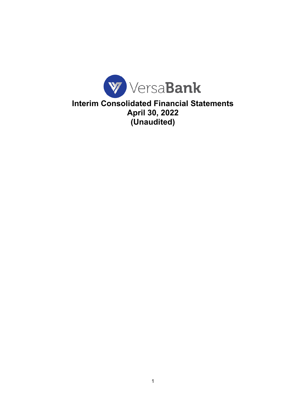

**Interim Consolidated Financial Statements April 30, 2022 (Unaudited)**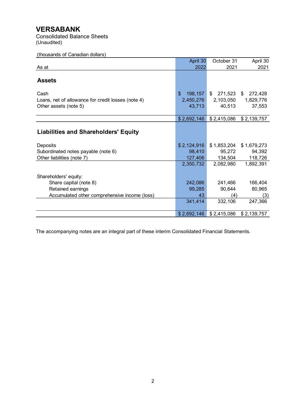Consolidated Balance Sheets (Unaudited)

## (thousands of Canadian dollars)

|                                                                                     | April 30                             | October 31                           | April 30                             |
|-------------------------------------------------------------------------------------|--------------------------------------|--------------------------------------|--------------------------------------|
| As at                                                                               | 2022                                 | 2021                                 | 2021                                 |
| <b>Assets</b>                                                                       |                                      |                                      |                                      |
| Cash<br>Loans, net of allowance for credit losses (note 4)<br>Other assets (note 5) | \$<br>198,157<br>2,450,276<br>43,713 | \$<br>271,523<br>2,103,050<br>40,513 | 272,428<br>\$<br>1,829,776<br>37,553 |
|                                                                                     | \$2,692,146                          | \$2,415,086                          | \$2,139,757                          |
| <b>Liabilities and Shareholders' Equity</b>                                         |                                      |                                      |                                      |
| Deposits                                                                            | \$2,124,916                          | \$1,853,204                          | \$1,679,273                          |
| Subordinated notes payable (note 6)                                                 | 98,410                               | 95,272                               | 94,392                               |
| Other liabilities (note 7)                                                          | 127,406                              | 134,504                              | 118,726                              |
|                                                                                     | 2,350,732                            | 2,082,980                            | 1,892,391                            |
| Shareholders' equity:                                                               |                                      |                                      |                                      |
| Share capital (note 8)                                                              | 242,086                              | 241,466                              | 166,404                              |
| Retained earnings                                                                   | 99,285                               | 90,644                               | 80,965                               |
| Accumulated other comprehensive income (loss)                                       | 43                                   | (4)                                  | (3)                                  |
|                                                                                     | 341,414                              | 332,106                              | 247,366                              |
|                                                                                     | \$2,692,146                          | \$2,415,086                          | \$2,139,757                          |

The accompanying notes are an integral part of these interim Consolidated Financial Statements.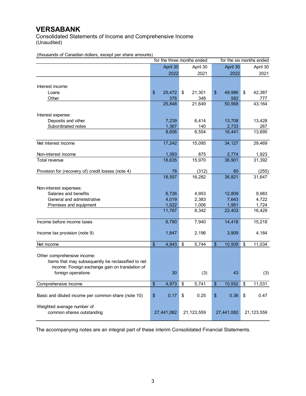Consolidated Statements of Income and Comprehensive Income (Unaudited)

(thousands of Canadian dollars, except per share amounts)

|                                                     |                          | for the three months ended |                     |               |                | for the six months ended |                 |
|-----------------------------------------------------|--------------------------|----------------------------|---------------------|---------------|----------------|--------------------------|-----------------|
|                                                     |                          | April 30                   | April 30            |               | April 30       |                          | April 30        |
|                                                     |                          | 2022                       | 2021                |               | 2022           |                          | 2021            |
|                                                     |                          |                            |                     |               |                |                          |                 |
| Interest income:                                    |                          |                            |                     |               |                |                          |                 |
| Loans                                               | \$                       | 25,472                     | \$<br>21,301        | \$            | 49,986         | \$                       | 42,387          |
| Other                                               |                          | 376                        | 348                 |               | 582            |                          | 777             |
|                                                     |                          | 25,848                     | $\overline{2}1,649$ |               | 50,568         |                          | 43,164          |
| Interest expense:                                   |                          |                            |                     |               |                |                          |                 |
| Deposits and other                                  |                          | 7,239                      | 6,414               |               | 13,708         |                          | 13,428          |
| Subordinated notes                                  |                          | 1,367                      | 140                 |               | 2,733          |                          | 267             |
|                                                     |                          | 8,606                      | 6,554               |               | 16,441         |                          | 13,695          |
| Net interest income                                 |                          | 17,242                     | 15,095              |               | 34,127         |                          | 29,469          |
| Non-interest income                                 |                          | 1,393                      | 875                 |               | 2,774          |                          | 1,923           |
| Total revenue                                       |                          | 18,635                     | 15,970              |               | 36,901         |                          | 31,392          |
|                                                     |                          |                            |                     |               |                |                          |                 |
| Provision for (recovery of) credit losses (note 4)  |                          | 78                         | (312)               |               | 80             |                          | (255)           |
|                                                     |                          | 18,557                     | 16,282              |               | 36,821         |                          | 31,647          |
|                                                     |                          |                            |                     |               |                |                          |                 |
| Non-interest expenses:                              |                          |                            |                     |               |                |                          |                 |
| Salaries and benefits                               |                          | 6,726                      | 4,953               |               | 12,809         |                          | 9,983           |
| General and administrative                          |                          | 4,019<br>1,022             | 2,383<br>1,006      |               | 7,643<br>1,951 |                          | 4,722           |
| Premises and equipment                              |                          | 11,767                     | 8,342               |               | 22,403         |                          | 1,724<br>16,429 |
|                                                     |                          |                            |                     |               |                |                          |                 |
| Income before income taxes                          |                          | 6,790                      | 7,940               |               | 14,418         |                          | 15,218          |
| Income tax provision (note 9)                       |                          | 1,847                      | 2,196               |               | 3,909          |                          | 4,184           |
|                                                     |                          |                            |                     |               |                |                          |                 |
| Net income                                          | $\overline{\mathcal{S}}$ | 4,943                      | \$<br>5,744         | \$            | 10,509         | \$                       | 11,034          |
| Other comprehensive income:                         |                          |                            |                     |               |                |                          |                 |
| Items that may subsequently be reclassified to net  |                          |                            |                     |               |                |                          |                 |
| income: Foreign exchange gain on translation of     |                          |                            |                     |               |                |                          |                 |
| foreign operations                                  |                          | 30                         | (3)                 |               | 43             |                          | (3)             |
|                                                     |                          |                            |                     |               |                |                          |                 |
| Comprehensive income                                | $\overline{\mathcal{S}}$ | 4,973                      | \$<br>5,741         | $\frac{1}{2}$ | 10,552         | \$                       | 11,031          |
|                                                     |                          |                            |                     |               |                |                          |                 |
| Basic and diluted income per common share (note 10) | \$                       | 0.17                       | \$<br>0.25          | \$            | 0.36           | \$                       | 0.47            |
| Weighted average number of                          |                          |                            |                     |               |                |                          |                 |
| common shares outstanding                           |                          | 27,441,082                 | 21,123,559          |               | 27,441,082     |                          | 21,123,559      |

The accompanying notes are an integral part of these interim Consolidated Financial Statements.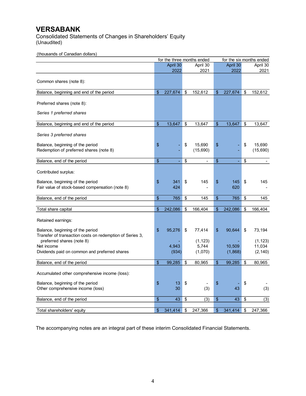Consolidated Statements of Changes in Shareholders' Equity (Unaudited)

(thousands of Canadian dollars)

| April 30<br>April 30<br>April 30<br>April 30<br>2022<br>2022<br>2021<br>2021<br>Common shares (note 8):<br>Balance, beginning and end of the period<br>$\frac{1}{2}$<br>227,674<br>152,612<br>227,674<br>\$<br>\$<br>\$<br>152,612<br>Preferred shares (note 8):<br>Series 1 preferred shares<br>\$<br>13,647<br>\$<br>\$<br>13,647<br>\$<br>Balance, beginning and end of the period<br>13,647<br>13,647<br>Series 3 preferred shares<br>\$<br>\$<br>\$<br>15,690<br>\$<br>15,690<br>Balance, beginning of the period<br>Redemption of preferred shares (note 8)<br>(15, 690)<br>(15,690)<br>Balance, end of the period<br>\$<br>\$<br>\$<br>\$<br>÷,<br>$\omega$<br>L,<br>$\blacksquare$<br>Contributed surplus:<br>\$<br>\$<br>\$<br>Balance, beginning of the period<br>\$<br>341<br>145<br>145<br>145<br>Fair value of stock-based compensation (note 8)<br>424<br>620<br>Balance, end of the period<br>$\mathfrak{S}$<br>\$<br>145<br>\$<br>765<br>\$<br>765<br>145<br>\$<br>166,404<br>\$<br>242,086<br>\$<br>\$<br>242,086<br>166,404<br>Total share capital<br>Retained earnings:<br>\$<br>95,276<br>\$<br>90,644<br>\$<br>73,194<br>Balance, beginning of the period<br>\$<br>77,414<br>Transfer of transaction costs on redemption of Series 3,<br>(1, 123)<br>preferred shares (note 8)<br>(1, 123)<br>11,034<br>5,744<br>Net income<br>4,943<br>10,509<br>(1,070)<br>(2, 140)<br>Dividends paid on common and preferred shares<br>(934)<br>(1,868)<br>99,285<br>80,965<br>99,285<br>Balance, end of the period<br>\$<br>\$<br>\$<br>\$<br>80,965<br>Accumulated other comprehensive income (loss):<br>\$<br>Balance, beginning of the period<br>\$<br>13<br>\$<br>\$<br>Other comprehensive income (loss)<br>30<br>(3)<br>43<br>(3)<br>\$<br>\$<br>\$<br>43<br>(3)<br>43<br>\$<br>(3)<br>Balance, end of the period<br>\$<br>341,414<br>\$<br>\$<br>Total shareholders' equity<br>247,366<br>341,414<br>\$<br>247,366 |  | for the three months ended |  |  | for the six months ended |
|------------------------------------------------------------------------------------------------------------------------------------------------------------------------------------------------------------------------------------------------------------------------------------------------------------------------------------------------------------------------------------------------------------------------------------------------------------------------------------------------------------------------------------------------------------------------------------------------------------------------------------------------------------------------------------------------------------------------------------------------------------------------------------------------------------------------------------------------------------------------------------------------------------------------------------------------------------------------------------------------------------------------------------------------------------------------------------------------------------------------------------------------------------------------------------------------------------------------------------------------------------------------------------------------------------------------------------------------------------------------------------------------------------------------------------------------------------------------------------------------------------------------------------------------------------------------------------------------------------------------------------------------------------------------------------------------------------------------------------------------------------------------------------------------------------------------------------------------------------------------------------------------------------------------------------|--|----------------------------|--|--|--------------------------|
|                                                                                                                                                                                                                                                                                                                                                                                                                                                                                                                                                                                                                                                                                                                                                                                                                                                                                                                                                                                                                                                                                                                                                                                                                                                                                                                                                                                                                                                                                                                                                                                                                                                                                                                                                                                                                                                                                                                                    |  |                            |  |  |                          |
|                                                                                                                                                                                                                                                                                                                                                                                                                                                                                                                                                                                                                                                                                                                                                                                                                                                                                                                                                                                                                                                                                                                                                                                                                                                                                                                                                                                                                                                                                                                                                                                                                                                                                                                                                                                                                                                                                                                                    |  |                            |  |  |                          |
|                                                                                                                                                                                                                                                                                                                                                                                                                                                                                                                                                                                                                                                                                                                                                                                                                                                                                                                                                                                                                                                                                                                                                                                                                                                                                                                                                                                                                                                                                                                                                                                                                                                                                                                                                                                                                                                                                                                                    |  |                            |  |  |                          |
|                                                                                                                                                                                                                                                                                                                                                                                                                                                                                                                                                                                                                                                                                                                                                                                                                                                                                                                                                                                                                                                                                                                                                                                                                                                                                                                                                                                                                                                                                                                                                                                                                                                                                                                                                                                                                                                                                                                                    |  |                            |  |  |                          |
|                                                                                                                                                                                                                                                                                                                                                                                                                                                                                                                                                                                                                                                                                                                                                                                                                                                                                                                                                                                                                                                                                                                                                                                                                                                                                                                                                                                                                                                                                                                                                                                                                                                                                                                                                                                                                                                                                                                                    |  |                            |  |  |                          |
|                                                                                                                                                                                                                                                                                                                                                                                                                                                                                                                                                                                                                                                                                                                                                                                                                                                                                                                                                                                                                                                                                                                                                                                                                                                                                                                                                                                                                                                                                                                                                                                                                                                                                                                                                                                                                                                                                                                                    |  |                            |  |  |                          |
|                                                                                                                                                                                                                                                                                                                                                                                                                                                                                                                                                                                                                                                                                                                                                                                                                                                                                                                                                                                                                                                                                                                                                                                                                                                                                                                                                                                                                                                                                                                                                                                                                                                                                                                                                                                                                                                                                                                                    |  |                            |  |  |                          |
|                                                                                                                                                                                                                                                                                                                                                                                                                                                                                                                                                                                                                                                                                                                                                                                                                                                                                                                                                                                                                                                                                                                                                                                                                                                                                                                                                                                                                                                                                                                                                                                                                                                                                                                                                                                                                                                                                                                                    |  |                            |  |  |                          |
|                                                                                                                                                                                                                                                                                                                                                                                                                                                                                                                                                                                                                                                                                                                                                                                                                                                                                                                                                                                                                                                                                                                                                                                                                                                                                                                                                                                                                                                                                                                                                                                                                                                                                                                                                                                                                                                                                                                                    |  |                            |  |  |                          |
|                                                                                                                                                                                                                                                                                                                                                                                                                                                                                                                                                                                                                                                                                                                                                                                                                                                                                                                                                                                                                                                                                                                                                                                                                                                                                                                                                                                                                                                                                                                                                                                                                                                                                                                                                                                                                                                                                                                                    |  |                            |  |  |                          |
|                                                                                                                                                                                                                                                                                                                                                                                                                                                                                                                                                                                                                                                                                                                                                                                                                                                                                                                                                                                                                                                                                                                                                                                                                                                                                                                                                                                                                                                                                                                                                                                                                                                                                                                                                                                                                                                                                                                                    |  |                            |  |  |                          |
|                                                                                                                                                                                                                                                                                                                                                                                                                                                                                                                                                                                                                                                                                                                                                                                                                                                                                                                                                                                                                                                                                                                                                                                                                                                                                                                                                                                                                                                                                                                                                                                                                                                                                                                                                                                                                                                                                                                                    |  |                            |  |  |                          |
|                                                                                                                                                                                                                                                                                                                                                                                                                                                                                                                                                                                                                                                                                                                                                                                                                                                                                                                                                                                                                                                                                                                                                                                                                                                                                                                                                                                                                                                                                                                                                                                                                                                                                                                                                                                                                                                                                                                                    |  |                            |  |  |                          |
|                                                                                                                                                                                                                                                                                                                                                                                                                                                                                                                                                                                                                                                                                                                                                                                                                                                                                                                                                                                                                                                                                                                                                                                                                                                                                                                                                                                                                                                                                                                                                                                                                                                                                                                                                                                                                                                                                                                                    |  |                            |  |  |                          |
|                                                                                                                                                                                                                                                                                                                                                                                                                                                                                                                                                                                                                                                                                                                                                                                                                                                                                                                                                                                                                                                                                                                                                                                                                                                                                                                                                                                                                                                                                                                                                                                                                                                                                                                                                                                                                                                                                                                                    |  |                            |  |  |                          |
|                                                                                                                                                                                                                                                                                                                                                                                                                                                                                                                                                                                                                                                                                                                                                                                                                                                                                                                                                                                                                                                                                                                                                                                                                                                                                                                                                                                                                                                                                                                                                                                                                                                                                                                                                                                                                                                                                                                                    |  |                            |  |  |                          |
|                                                                                                                                                                                                                                                                                                                                                                                                                                                                                                                                                                                                                                                                                                                                                                                                                                                                                                                                                                                                                                                                                                                                                                                                                                                                                                                                                                                                                                                                                                                                                                                                                                                                                                                                                                                                                                                                                                                                    |  |                            |  |  |                          |
|                                                                                                                                                                                                                                                                                                                                                                                                                                                                                                                                                                                                                                                                                                                                                                                                                                                                                                                                                                                                                                                                                                                                                                                                                                                                                                                                                                                                                                                                                                                                                                                                                                                                                                                                                                                                                                                                                                                                    |  |                            |  |  |                          |
|                                                                                                                                                                                                                                                                                                                                                                                                                                                                                                                                                                                                                                                                                                                                                                                                                                                                                                                                                                                                                                                                                                                                                                                                                                                                                                                                                                                                                                                                                                                                                                                                                                                                                                                                                                                                                                                                                                                                    |  |                            |  |  |                          |
|                                                                                                                                                                                                                                                                                                                                                                                                                                                                                                                                                                                                                                                                                                                                                                                                                                                                                                                                                                                                                                                                                                                                                                                                                                                                                                                                                                                                                                                                                                                                                                                                                                                                                                                                                                                                                                                                                                                                    |  |                            |  |  |                          |
|                                                                                                                                                                                                                                                                                                                                                                                                                                                                                                                                                                                                                                                                                                                                                                                                                                                                                                                                                                                                                                                                                                                                                                                                                                                                                                                                                                                                                                                                                                                                                                                                                                                                                                                                                                                                                                                                                                                                    |  |                            |  |  |                          |
|                                                                                                                                                                                                                                                                                                                                                                                                                                                                                                                                                                                                                                                                                                                                                                                                                                                                                                                                                                                                                                                                                                                                                                                                                                                                                                                                                                                                                                                                                                                                                                                                                                                                                                                                                                                                                                                                                                                                    |  |                            |  |  |                          |
|                                                                                                                                                                                                                                                                                                                                                                                                                                                                                                                                                                                                                                                                                                                                                                                                                                                                                                                                                                                                                                                                                                                                                                                                                                                                                                                                                                                                                                                                                                                                                                                                                                                                                                                                                                                                                                                                                                                                    |  |                            |  |  |                          |
|                                                                                                                                                                                                                                                                                                                                                                                                                                                                                                                                                                                                                                                                                                                                                                                                                                                                                                                                                                                                                                                                                                                                                                                                                                                                                                                                                                                                                                                                                                                                                                                                                                                                                                                                                                                                                                                                                                                                    |  |                            |  |  |                          |
|                                                                                                                                                                                                                                                                                                                                                                                                                                                                                                                                                                                                                                                                                                                                                                                                                                                                                                                                                                                                                                                                                                                                                                                                                                                                                                                                                                                                                                                                                                                                                                                                                                                                                                                                                                                                                                                                                                                                    |  |                            |  |  |                          |
|                                                                                                                                                                                                                                                                                                                                                                                                                                                                                                                                                                                                                                                                                                                                                                                                                                                                                                                                                                                                                                                                                                                                                                                                                                                                                                                                                                                                                                                                                                                                                                                                                                                                                                                                                                                                                                                                                                                                    |  |                            |  |  |                          |
|                                                                                                                                                                                                                                                                                                                                                                                                                                                                                                                                                                                                                                                                                                                                                                                                                                                                                                                                                                                                                                                                                                                                                                                                                                                                                                                                                                                                                                                                                                                                                                                                                                                                                                                                                                                                                                                                                                                                    |  |                            |  |  |                          |

The accompanying notes are an integral part of these interim Consolidated Financial Statements.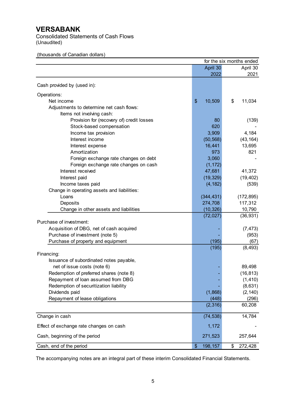Consolidated Statements of Cash Flows (Unaudited)

|                                             | April 30      | April 30      |
|---------------------------------------------|---------------|---------------|
|                                             | 2022          | 2021          |
| Cash provided by (used in):                 |               |               |
|                                             |               |               |
| Operations:                                 |               |               |
| Net income                                  | 10,509<br>\$  | \$<br>11,034  |
| Adjustments to determine net cash flows:    |               |               |
| Items not involving cash:                   |               |               |
| Provision for (recovery of) credit losses   | 80            | (139)         |
| Stock-based compensation                    | 620           |               |
| Income tax provision                        | 3,909         | 4,184         |
| Interest income                             | (50, 568)     | (43, 164)     |
| Interest expense                            | 16,441        | 13,695        |
| Amortization                                | 973           | 821           |
| Foreign exchange rate changes on debt       | 3,060         |               |
| Foreign exchange rate changes on cash       | (1, 172)      |               |
| Interest received                           | 47,681        | 41,372        |
| Interest paid                               | (19, 329)     | (19, 402)     |
| Income taxes paid                           | (4, 182)      | (539)         |
| Change in operating assets and liabilities: |               |               |
| Loans                                       | (344, 431)    | (172, 895)    |
| Deposits                                    | 274,708       | 117,312       |
| Change in other assets and liabilities      | (10, 326)     | 10,790        |
|                                             | (72, 027)     | (36, 931)     |
| Purchase of investment:                     |               |               |
| Acquisition of DBG, net of cash acquired    |               | (7, 473)      |
| Purchase of investment (note 5)             |               | (953)         |
| Purchase of property and equipment          | (195)         | (67)          |
|                                             | (195)         | (8, 493)      |
| Financing:                                  |               |               |
| Issuance of subordinated notes payable,     |               |               |
| net of issue costs (note 6)                 |               | 89,498        |
| Redemption of preferred shares (note 8)     |               |               |
|                                             |               | (16, 813)     |
| Repayment of loan assumed from DBG          |               | (1, 410)      |
| Redemption of securitization liability      |               | (8,631)       |
| Dividends paid                              | (1,868)       | (2, 140)      |
| Repayment of lease obligations              | (448)         | (296)         |
|                                             | (2,316)       | 60,208        |
| Change in cash                              | (74, 538)     | 14,784        |
| Effect of exchange rate changes on cash     | 1,172         |               |
| Cash, beginning of the period               | 271,523       | 257,644       |
|                                             | \$<br>198,157 | \$<br>272,428 |
| Cash, end of the period                     |               |               |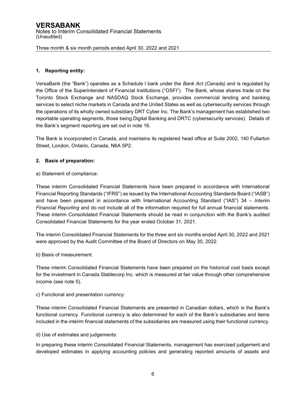#### **1. Reporting entity:**

VersaBank (the "Bank") operates as a Schedule I bank under the *Bank Act (Canada)* and is regulated by the Office of the Superintendent of Financial Institutions ("OSFI"). The Bank, whose shares trade on the Toronto Stock Exchange and NASDAQ Stock Exchange, provides commercial lending and banking services to select niche markets in Canada and the United States as well as cybersecurity services through the operations of its wholly owned subsidiary DRT Cyber Inc. The Bank's management has established two reportable operating segments, those being Digital Banking and DRTC (cybersecurity services). Details of the Bank's segment reporting are set out in note 16.

The Bank is incorporated in Canada, and maintains its registered head office at Suite 2002, 140 Fullarton Street, London, Ontario, Canada, N6A 5P2.

#### **2. Basis of preparation:**

a) Statement of compliance:

These interim Consolidated Financial Statements have been prepared in accordance with International Financial Reporting Standards ("IFRS") as issued by the International Accounting Standards Board ("IASB") and have been prepared in accordance with International Accounting Standard ("IAS") 34 *– Interim Financial Reporting* and do not include all of the information required for full annual financial statements*.*  These interim Consolidated Financial Statements should be read in conjunction with the Bank's audited Consolidated Financial Statements for the year ended October 31, 2021.

The interim Consolidated Financial Statements for the three and six months ended April 30, 2022 and 2021 were approved by the Audit Committee of the Board of Directors on May 30, 2022.

b) Basis of measurement:

These interim Consolidated Financial Statements have been prepared on the historical cost basis except for the investment in Canada Stablecorp Inc. which is measured at fair value through other comprehensive income (see note 5).

c) Functional and presentation currency:

These interim Consolidated Financial Statements are presented in Canadian dollars, which is the Bank's functional currency. Functional currency is also determined for each of the Bank's subsidiaries and items included in the interim financial statements of the subsidiaries are measured using their functional currency.

d) Use of estimates and judgements:

In preparing these interim Consolidated Financial Statements, management has exercised judgement and developed estimates in applying accounting policies and generating reported amounts of assets and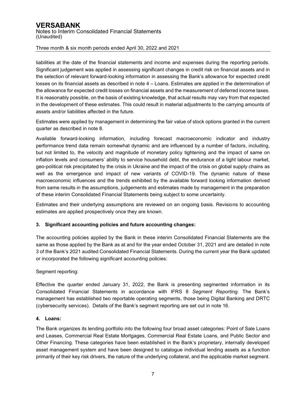liabilities at the date of the financial statements and income and expenses during the reporting periods. Significant judgement was applied in assessing significant changes in credit risk on financial assets and in the selection of relevant forward-looking information in assessing the Bank's allowance for expected credit losses on its financial assets as described in note 4 – Loans. Estimates are applied in the determination of the allowance for expected credit losses on financial assets and the measurement of deferred income taxes. It is reasonably possible, on the basis of existing knowledge, that actual results may vary from that expected in the development of these estimates. This could result in material adjustments to the carrying amounts of assets and/or liabilities affected in the future.

Estimates were applied by management in determining the fair value of stock options granted in the current quarter as described in note 8.

Available forward-looking information, including forecast macroeconomic indicator and industry performance trend data remain somewhat dynamic and are influenced by a number of factors, including, but not limited to, the velocity and magnitude of monetary policy tightening and the impact of same on inflation levels and consumers' ability to service household debt, the endurance of a tight labour market, geo-political risk precipitated by the crisis in Ukraine and the impact of the crisis on global supply chains as well as the emergence and impact of new variants of COVID-19. The dynamic nature of these macroeconomic influences and the trends exhibited by the available forward looking information derived from same results in the assumptions, judgements and estimates made by management in the preparation of these interim Consolidated Financial Statements being subject to some uncertainty.

Estimates and their underlying assumptions are reviewed on an ongoing basis. Revisions to accounting estimates are applied prospectively once they are known.

#### **3. Significant accounting policies and future accounting changes:**

The accounting policies applied by the Bank in these interim Consolidated Financial Statements are the same as those applied by the Bank as at and for the year ended October 31, 2021 and are detailed in note 3 of the Bank's 2021 audited Consolidated Financial Statements. During the current year the Bank updated or incorporated the following significant accounting policies:

#### Segment reporting:

Effective the quarter ended January 31, 2022, the Bank is presenting segmented information in its Consolidated Financial Statements in accordance with IFRS 8 *Segment Reporting*. The Bank's management has established two reportable operating segments, those being Digital Banking and DRTC (cybersecurity services). Details of the Bank's segment reporting are set out in note 16.

#### **4. Loans:**

The Bank organizes its lending portfolio into the following four broad asset categories: Point of Sale Loans and Leases, Commercial Real Estate Mortgages, Commercial Real Estate Loans, and Public Sector and Other Financing. These categories have been established in the Bank's proprietary, internally developed asset management system and have been designed to catalogue individual lending assets as a function primarily of their key risk drivers, the nature of the underlying collateral, and the applicable market segment.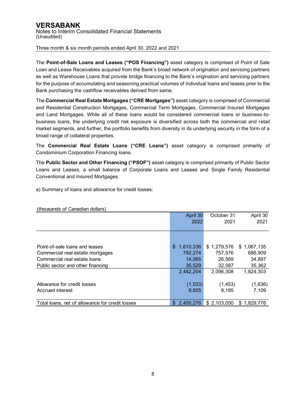The **Point-of-Sale Loans and Leases ("POS Financing")** asset category is comprised of Point of Sale Loan and Lease Receivables acquired from the Bank's broad network of origination and servicing partners as well as Warehouse Loans that provide bridge financing to the Bank's origination and servicing partners for the purpose of accumulating and seasoning practical volumes of individual loans and leases prior to the Bank purchasing the cashflow receivables derived from same.

The **Commercial Real Estate Mortgages ("CRE Mortgages")** asset category is comprised of Commercial and Residential Construction Mortgages, Commercial Term Mortgages, Commercial Insured Mortgages and Land Mortgages. While all of these loans would be considered commercial loans or business-tobusiness loans, the underlying credit risk exposure is diversified across both the commercial and retail market segments, and further, the portfolio benefits from diversity in its underlying security in the form of a broad range of collateral properties.

The **Commercial Real Estate Loans ("CRE Loans")** asset category is comprised primarily of Condominium Corporation Financing loans.

The **Public Sector and Other Financing ("PSOF")** asset category is comprised primarily of Public Sector Loans and Leases, a small balance of Corporate Loans and Leases and Single Family Residential Conventional and Insured Mortgages.

a) Summary of loans and allowance for credit losses:

| (thousands of Canadian dollars)                 |                  |             |             |
|-------------------------------------------------|------------------|-------------|-------------|
|                                                 | April 30         | October 31  | April 30    |
|                                                 | 2022             | 2021        | 2021        |
|                                                 |                  |             |             |
|                                                 |                  |             |             |
| Point-of-sale loans and leases                  | \$<br>1,610,336  | \$1,279,576 | \$1,067,135 |
| Commercial real estate mortgages                | 782,274          | 757,576     | 686,909     |
| Commercial real estate loans                    | 14,065           | 26,569      | 34,897      |
| Public sector and other financing               | 35,529           | 32,587      | 35,362      |
|                                                 | 2,442,204        | 2,096,308   | 1,824,303   |
|                                                 |                  |             |             |
| Allowance for credit losses                     | (1, 533)         | (1, 453)    | (1,636)     |
| Accrued interest                                | 9,605            | 8.195       | 7,109       |
|                                                 |                  |             |             |
| Total loans, net of allowance for credit losses | 2.450.276<br>\$. | \$2,103,050 | \$1.829.776 |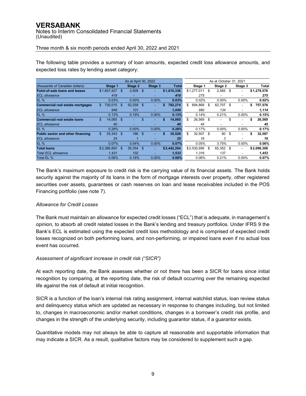### **VERSABANK** Notes to Interim Consolidated Financial Statements (Unaudited)

Three month & six month periods ended April 30, 2022 and 2021

|                                         |                |     | As at April 30, 2022 |      |         |               | As at October 31, 2021 |             |    |          |      |                          |    |             |
|-----------------------------------------|----------------|-----|----------------------|------|---------|---------------|------------------------|-------------|----|----------|------|--------------------------|----|-------------|
| (thousands of Canadian dollars)         | Stage 1        |     | Stage 2              |      | Stage 3 | <b>Total</b>  |                        | Stage 1     |    | Stage 2  |      | Stage 3                  |    | Total       |
| Point-of-sale loans and leases          | \$1,607,427    |     | \$<br>2,909          | - \$ | ۰.      | \$1,610,336   |                        | \$1,277,011 | \$ | 2,565    | - \$ | ٠                        |    | \$1,279,576 |
| <b>ECL</b> allowance                    | 419            |     | ٠                    |      |         | 419           |                        | 275         |    |          |      |                          |    | 275         |
| <b>EL %</b>                             | 0.03%          |     | 0.00%                |      | 0.00%   | 0.03%         |                        | 0.02%       |    | $0.00\%$ |      | $0.00\%$                 |    | 0.02%       |
| <b>Commercial real estate mortgages</b> | 730.015<br>\$. |     | \$<br>52,259         | \$.  |         | \$<br>782.274 | \$                     | 694.869     | \$ | 62,707   | - \$ | ٠                        | \$ | 757,576     |
| <b>ECL</b> allowance                    |                | 948 | 101                  |      |         | 1.049         |                        | 980         |    | 134      |      | $\overline{\phantom{a}}$ |    | 1,114       |
| <b>EL %</b>                             | 0.13%          |     | 0.19%                |      | 0.00%   | 0.13%         |                        | 0.14%       |    | 0.21%    |      | $0.00\%$                 |    | 0.15%       |
| <b>Commercial real estate loans</b>     | \$<br>14.065   |     | \$.                  | \$   |         | \$<br>14,065  | \$                     | 26,569      | \$ |          | \$   | $\overline{\phantom{a}}$ | \$ | 26,569      |
| <b>ECL</b> allowance                    |                | 40  | -                    |      |         | 40            |                        | 45          |    | -        |      | $\overline{\phantom{0}}$ |    | 45          |
| <b>EL %</b>                             | 0.28%          |     | $0.00\%$             |      | 0.00%   | 0.28%         |                        | 0.17%       |    | $0.00\%$ |      | $0.00\%$                 |    | 0.17%       |
| Public sector and other financing       | \$<br>35,343   |     | 186<br>\$            | - \$ |         | \$<br>35,529  | \$                     | 32,507      | \$ | 80       | \$   | $\overline{\phantom{a}}$ | \$ | 32,587      |
| <b>ECL</b> allowance                    |                | 24  |                      |      |         | 25            |                        | 16          |    | 3        |      |                          |    | 19          |
| <b>EL %</b>                             | 0.07%          |     | 0.54%                |      | 0.00%   | 0.07%         |                        | 0.05%       |    | 3.75%    |      | $0.00\%$                 |    | 0.06%       |
| <b>Total loans</b>                      | \$2,386,850    |     | 55.354<br>\$         | \$   | ۰.      | \$2,442,204   |                        | \$2,030,956 | \$ | 65.352   | - \$ | ٠                        |    | \$2,096,308 |
| <b>Total ECL allowance</b>              | 1.431          |     | 102                  |      |         | 1,533         |                        | 1,316       |    | 137      |      |                          |    | 1,453       |
| Total EL %                              | 0.06%          |     | 0.18%                |      | 0.00%   | 0.06%         |                        | 0.06%       |    | 0.21%    |      | $0.00\%$                 |    | 0.07%       |

The following table provides a summary of loan amounts, expected credit loss allowance amounts, and expected loss rates by lending asset category:

The Bank's maximum exposure to credit risk is the carrying value of its financial assets. The Bank holds security against the majority of its loans in the form of mortgage interests over property, other registered securities over assets, guarantees or cash reserves on loan and lease receivables included in the POS Financing portfolio (see note 7).

#### *Allowance for Credit Losses*

The Bank must maintain an allowance for expected credit losses ("ECL") that is adequate, in management's opinion, to absorb all credit related losses in the Bank's lending and treasury portfolios. Under IFRS 9 the Bank's ECL is estimated using the expected credit loss methodology and is comprised of expected credit losses recognized on both performing loans, and non-performing, or impaired loans even if no actual loss event has occurred.

#### *Assessment of significant increase in credit risk ("SICR")*

At each reporting date, the Bank assesses whether or not there has been a SICR for loans since initial recognition by comparing, at the reporting date, the risk of default occurring over the remaining expected life against the risk of default at initial recognition.

SICR is a function of the loan's internal risk rating assignment, internal watchlist status, loan review status and delinquency status which are updated as necessary in response to changes including, but not limited to, changes in macroeconomic and/or market conditions, changes in a borrower's credit risk profile, and changes in the strength of the underlying security, including guarantor status, if a guarantor exists.

Quantitative models may not always be able to capture all reasonable and supportable information that may indicate a SICR. As a result, qualitative factors may be considered to supplement such a gap.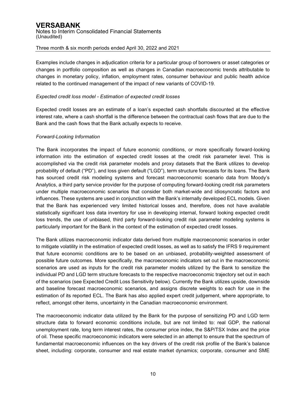Examples include changes in adjudication criteria for a particular group of borrowers or asset categories or changes in portfolio composition as well as changes in Canadian macroeconomic trends attributable to changes in monetary policy, inflation, employment rates, consumer behaviour and public health advice related to the continued management of the impact of new variants of COVID-19.

#### *Expected credit loss model - Estimation of expected credit losses*

Expected credit losses are an estimate of a loan's expected cash shortfalls discounted at the effective interest rate, where a cash shortfall is the difference between the contractual cash flows that are due to the Bank and the cash flows that the Bank actually expects to receive.

#### *Forward-Looking Information*

The Bank incorporates the impact of future economic conditions, or more specifically forward-looking information into the estimation of expected credit losses at the credit risk parameter level. This is accomplished via the credit risk parameter models and proxy datasets that the Bank utilizes to develop probability of default ("PD"), and loss given default ("LGD"), term structure forecasts for its loans. The Bank has sourced credit risk modeling systems and forecast macroeconomic scenario data from Moody's Analytics, a third party service provider for the purpose of computing forward-looking credit risk parameters under multiple macroeconomic scenarios that consider both market-wide and idiosyncratic factors and influences. These systems are used in conjunction with the Bank's internally developed ECL models. Given that the Bank has experienced very limited historical losses and, therefore, does not have available statistically significant loss data inventory for use in developing internal, forward looking expected credit loss trends, the use of unbiased, third party forward-looking credit risk parameter modeling systems is particularly important for the Bank in the context of the estimation of expected credit losses.

The Bank utilizes macroeconomic indicator data derived from multiple macroeconomic scenarios in order to mitigate volatility in the estimation of expected credit losses, as well as to satisfy the IFRS 9 requirement that future economic conditions are to be based on an unbiased, probability-weighted assessment of possible future outcomes. More specifically, the macroeconomic indicators set out in the macroeconomic scenarios are used as inputs for the credit risk parameter models utilized by the Bank to sensitize the individual PD and LGD term structure forecasts to the respective macroeconomic trajectory set out in each of the scenarios (see Expected Credit Loss Sensitivity below). Currently the Bank utilizes upside, downside and baseline forecast macroeconomic scenarios, and assigns discrete weights to each for use in the estimation of its reported ECL. The Bank has also applied expert credit judgement, where appropriate, to reflect, amongst other items, uncertainty in the Canadian macroeconomic environment.

The macroeconomic indicator data utilized by the Bank for the purpose of sensitizing PD and LGD term structure data to forward economic conditions include, but are not limited to: real GDP, the national unemployment rate, long term interest rates, the consumer price index, the S&P/TSX Index and the price of oil. These specific macroeconomic indicators were selected in an attempt to ensure that the spectrum of fundamental macroeconomic influences on the key drivers of the credit risk profile of the Bank's balance sheet, including: corporate, consumer and real estate market dynamics; corporate, consumer and SME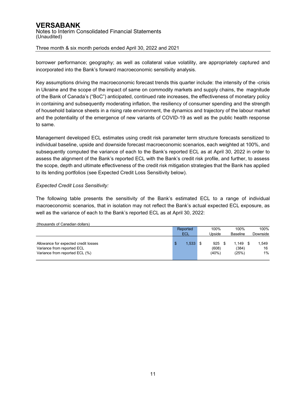### **VERSABANK** Notes to Interim Consolidated Financial Statements (Unaudited)

Three month & six month periods ended April 30, 2022 and 2021

borrower performance; geography; as well as collateral value volatility, are appropriately captured and incorporated into the Bank's forward macroeconomic sensitivity analysis.

Key assumptions driving the macroeconomic forecast trends this quarter include: the intensity of the -crisis in Ukraine and the scope of the impact of same on commodity markets and supply chains, the magnitude of the Bank of Canada's ("BoC") anticipated, continued rate increases, the effectiveness of monetary policy in containing and subsequently moderating inflation, the resiliency of consumer spending and the strength of household balance sheets in a rising rate environment, the dynamics and trajectory of the labour market and the potentiality of the emergence of new variants of COVID-19 as well as the public health response to same.

Management developed ECL estimates using credit risk parameter term structure forecasts sensitized to individual baseline, upside and downside forecast macroeconomic scenarios, each weighted at 100%, and subsequently computed the variance of each to the Bank's reported ECL as at April 30, 2022 in order to assess the alignment of the Bank's reported ECL with the Bank's credit risk profile, and further, to assess the scope, depth and ultimate effectiveness of the credit risk mitigation strategies that the Bank has applied to its lending portfolios (see Expected Credit Loss Sensitivity below).

#### *Expected Credit Loss Sensitivity:*

The following table presents the sensitivity of the Bank's estimated ECL to a range of individual macroeconomic scenarios, that in isolation may not reflect the Bank's actual expected ECL exposure, as well as the variance of each to the Bank's reported ECL as at April 30, 2022:

|                                                                                                      | Reported            | 100%                  | 100%                         | 100%                 |
|------------------------------------------------------------------------------------------------------|---------------------|-----------------------|------------------------------|----------------------|
|                                                                                                      | <b>ECL</b>          | Upside                | <b>Baseline</b>              | Downside             |
| Allowance for expected credit losses<br>Variance from reported ECL<br>Variance from reported ECL (%) | $1,533$ ,<br>c<br>Ð | 925<br>(608)<br>(40%) | $1.149$ \$<br>(384)<br>(25%) | 1.549<br>16<br>$1\%$ |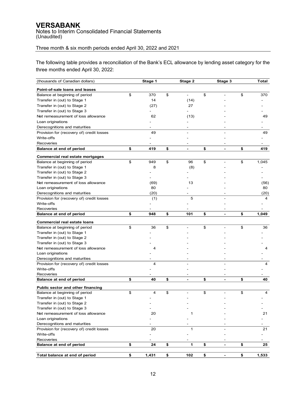Notes to Interim Consolidated Financial Statements (Unaudited)

## Three month & six month periods ended April 30, 2022 and 2021

The following table provides a reconciliation of the Bank's ECL allowance by lending asset category for the three months ended April 30, 2022:

| (thousands of Canadian dollars)           | Stage 1          | Stage 2              | Stage 3              | Total       |
|-------------------------------------------|------------------|----------------------|----------------------|-------------|
| Point-of-sale loans and leases            |                  |                      |                      |             |
| Balance at beginning of period            | \$<br>370        | \$                   | \$                   | \$<br>370   |
| Transfer in (out) to Stage 1              | 14               | (14)                 |                      |             |
| Transfer in (out) to Stage 2              | (27)             | 27                   |                      |             |
| Transfer in (out) to Stage 3              |                  |                      |                      |             |
| Net remeasurement of loss allowance       | 62               | (13)                 |                      | 49          |
| Loan originations                         |                  |                      |                      |             |
| Derecognitions and maturities             |                  |                      |                      |             |
| Provision for (recovery of) credit losses | 49               |                      |                      | 49          |
| Write-offs                                |                  |                      |                      |             |
| Recoveries                                |                  |                      |                      |             |
|                                           | \$<br>419        | \$<br>$\blacksquare$ | \$<br>$\blacksquare$ | \$<br>419   |
| <b>Balance at end of period</b>           |                  |                      |                      |             |
| Commercial real estate mortgages          |                  |                      |                      |             |
| Balance at beginning of period            | \$<br>949        | \$<br>96             | \$<br>L,             | \$<br>1,045 |
| Transfer in (out) to Stage 1              | 8                | (8)                  |                      |             |
| Transfer in (out) to Stage 2              |                  |                      |                      |             |
| Transfer in (out) to Stage 3              |                  |                      |                      |             |
| Net remeasurement of loss allowance       | (69)             | 13                   |                      | (56)        |
| Loan originations                         | 80               |                      |                      | 80          |
| Derecognitions and maturities             | (20)             |                      |                      | (20)        |
| Provision for (recovery of) credit losses | (1)              | 5                    |                      | 4           |
| Write-offs                                |                  |                      |                      |             |
| Recoveries                                |                  |                      |                      |             |
| Balance at end of period                  | \$<br>948        | \$<br>101            | \$<br>$\blacksquare$ | \$<br>1.049 |
| <b>Commercial real estate loans</b>       |                  |                      |                      |             |
| Balance at beginning of period            | \$<br>36         | \$                   | \$                   | \$<br>36    |
| Transfer in (out) to Stage 1              |                  |                      |                      |             |
| Transfer in (out) to Stage 2              |                  |                      |                      |             |
| Transfer in (out) to Stage 3              |                  |                      |                      |             |
| Net remeasurement of loss allowance       | 4                |                      |                      | 4           |
| Loan originations                         |                  |                      |                      |             |
| Derecognitions and maturities             |                  |                      |                      |             |
| Provision for (recovery of) credit losses | 4                |                      |                      | 4           |
| Write-offs                                |                  |                      |                      |             |
| Recoveries                                |                  |                      |                      |             |
| Balance at end of period                  | \$<br>40         | \$<br>$\blacksquare$ | \$<br>-              | \$<br>40    |
| Public sector and other financing         |                  |                      |                      |             |
| Balance at beginning of period            | \$<br>4          | \$                   | \$                   | \$<br>4     |
| Transfer in (out) to Stage 1              |                  |                      |                      |             |
| Transfer in (out) to Stage 2              |                  |                      |                      |             |
| Transfer in (out) to Stage 3              |                  |                      |                      |             |
| Net remeasurement of loss allowance       | 20               | 1                    |                      | 21          |
| Loan originations                         |                  |                      |                      |             |
| Derecognitions and maturities             |                  |                      |                      |             |
| Provision for (recovery of) credit losses | 20               | $\mathbf 1$          |                      | 21          |
| Write-offs                                |                  |                      |                      |             |
| Recoveries                                |                  |                      |                      |             |
| Balance at end of period                  | \$<br>${\bf 24}$ | \$<br>1              | \$                   | \$<br>25    |
|                                           |                  |                      |                      |             |
| Total balance at end of period            | \$<br>1,431      | \$<br>102            | \$                   | \$<br>1,533 |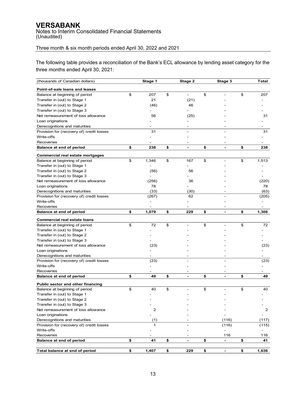Notes to Interim Consolidated Financial Statements (Unaudited)

## Three month & six month periods ended April 30, 2022 and 2021

The following table provides a reconciliation of the Bank's ECL allowance by lending asset category for the three months ended April 30, 2021:

| (thousands of Canadian dollars)           | Stage 1     | Stage 2                        | Stage 3              | Total                    |
|-------------------------------------------|-------------|--------------------------------|----------------------|--------------------------|
| Point-of-sale loans and leases            |             |                                |                      |                          |
| Balance at beginning of period            | \$<br>207   | \$<br>$\blacksquare$           | \$                   | \$<br>207                |
| Transfer in (out) to Stage 1              | 21          | (21)                           |                      |                          |
| Transfer in (out) to Stage 2              | (46)        | 46                             |                      |                          |
| Transfer in (out) to Stage 3              |             |                                |                      |                          |
| Net remeasurement of loss allowance       | 56          | (25)                           |                      | 31                       |
| Loan originations                         |             |                                |                      |                          |
| Derecognitions and maturities             |             |                                |                      |                          |
| Provision for (recovery of) credit losses | 31          |                                |                      | 31                       |
| Write-offs                                |             |                                |                      |                          |
| Recoveries                                |             |                                |                      |                          |
| Balance at end of period                  | \$<br>238   | \$<br>$\overline{\phantom{0}}$ | \$<br>$\blacksquare$ | \$<br>238                |
|                                           |             |                                |                      |                          |
| Commercial real estate mortgages          |             |                                |                      |                          |
| Balance at beginning of period            | \$<br>1,346 | \$<br>167                      | \$                   | \$<br>1,513              |
| Transfer in (out) to Stage 1              |             |                                |                      |                          |
| Transfer in (out) to Stage 2              | (56)        | 56                             |                      |                          |
| Transfer in (out) to Stage 3              |             |                                |                      |                          |
| Net remeasurement of loss allowance       | (256)       | 36                             |                      | (220)                    |
| Loan originations                         | 78          |                                |                      | 78                       |
| Derecognitions and maturities             | (33)        | (30)                           |                      | (63)                     |
| Provision for (recovery of) credit losses | (267)       | 62                             |                      | (205)                    |
| Write-offs                                |             |                                |                      |                          |
| Recoveries                                |             |                                |                      | $\overline{\phantom{a}}$ |
| Balance at end of period                  | \$<br>1,079 | \$<br>229                      | \$<br>$\blacksquare$ | \$<br>1,308              |
| <b>Commercial real estate loans</b>       |             |                                |                      |                          |
| Balance at beginning of period            | \$<br>72    | \$                             | \$                   | \$<br>72                 |
| Transfer in (out) to Stage 1              |             |                                |                      |                          |
| Transfer in (out) to Stage 2              |             |                                |                      |                          |
| Transfer in (out) to Stage 3              |             |                                |                      |                          |
| Net remeasurement of loss allowance       | (23)        |                                |                      | (23)                     |
| Loan originations                         |             |                                |                      |                          |
| Derecognitions and maturities             |             |                                |                      |                          |
| Provision for (recovery of) credit losses | (23)        |                                |                      | (23)                     |
| Write-offs                                |             |                                |                      |                          |
| Recoveries                                |             |                                |                      |                          |
| Balance at end of period                  | \$<br>49    | \$<br>$\blacksquare$           | \$<br>$\blacksquare$ | \$<br>49                 |
| Public sector and other financing         |             |                                |                      |                          |
| Balance at beginning of period            | \$<br>40    | \$                             | \$                   | \$<br>40                 |
| Transfer in (out) to Stage 1              |             |                                |                      |                          |
| Transfer in (out) to Stage 2              |             |                                |                      |                          |
| Transfer in (out) to Stage 3              |             |                                |                      |                          |
| Net remeasurement of loss allowance       | 2           |                                |                      | $\overline{c}$           |
| Loan originations                         |             |                                |                      |                          |
| Derecognitions and maturities             | (1)         |                                | (116)                | (117)                    |
| Provision for (recovery of) credit losses | 1           |                                | (116)                | (115)                    |
| Write-offs                                |             |                                |                      |                          |
| Recoveries                                |             |                                | 116                  | 116                      |
| Balance at end of period                  | \$<br>41    | \$<br>$\blacksquare$           | \$<br>$\blacksquare$ | \$<br>41                 |
|                                           |             |                                |                      |                          |
| Total balance at end of period            | \$<br>1,407 | \$<br>229                      | \$<br>$\blacksquare$ | \$<br>1,636              |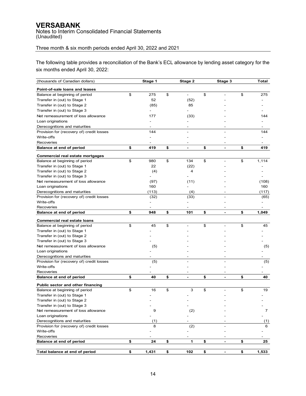Notes to Interim Consolidated Financial Statements (Unaudited)

## Three month & six month periods ended April 30, 2022 and 2021

The following table provides a reconciliation of the Bank's ECL allowance by lending asset category for the six months ended April 30, 2022:

| (thousands of Canadian dollars)                         | Stage 1          | Stage 2              | Stage 3              | Total       |
|---------------------------------------------------------|------------------|----------------------|----------------------|-------------|
| Point-of-sale loans and leases                          |                  |                      |                      |             |
| Balance at beginning of period                          | \$<br>275        | \$                   | \$                   | \$<br>275   |
| Transfer in (out) to Stage 1                            | 52               | (52)                 |                      |             |
| Transfer in (out) to Stage 2                            | (85)             | 85                   |                      |             |
| Transfer in (out) to Stage 3                            |                  |                      |                      |             |
| Net remeasurement of loss allowance                     | 177              | (33)                 |                      | 144         |
| Loan originations                                       |                  |                      |                      |             |
| Derecognitions and maturities                           |                  |                      |                      |             |
| Provision for (recovery of) credit losses               | 144              |                      |                      | 144         |
| Write-offs                                              |                  |                      |                      |             |
|                                                         |                  |                      |                      |             |
| Recoveries                                              |                  |                      |                      |             |
| Balance at end of period                                | \$<br>419        | \$<br>$\blacksquare$ | \$<br>$\blacksquare$ | \$<br>419   |
| Commercial real estate mortgages                        |                  |                      |                      |             |
| Balance at beginning of period                          | \$<br>980        | \$<br>134            | \$                   | \$<br>1,114 |
| Transfer in (out) to Stage 1                            | 22               | (22)                 |                      |             |
| Transfer in (out) to Stage 2                            | (4)              | 4                    |                      |             |
| Transfer in (out) to Stage 3                            |                  |                      |                      |             |
| Net remeasurement of loss allowance                     | (97)             | (11)                 |                      | (108)       |
| Loan originations                                       | 160              |                      |                      | 160         |
| Derecognitions and maturities                           | (113)            | (4)                  |                      | (117)       |
| Provision for (recovery of) credit losses               | (32)             | (33)                 |                      | (65)        |
| Write-offs                                              |                  |                      |                      |             |
| Recoveries                                              |                  |                      |                      |             |
| Balance at end of period                                | \$<br>948        | \$<br>101            | \$                   | \$<br>1.049 |
| <b>Commercial real estate loans</b>                     |                  |                      |                      |             |
| Balance at beginning of period                          | \$<br>45         | \$                   | \$                   | \$<br>45    |
| Transfer in (out) to Stage 1                            |                  |                      |                      |             |
| Transfer in (out) to Stage 2                            |                  |                      |                      |             |
|                                                         |                  |                      |                      |             |
| Transfer in (out) to Stage 3                            |                  |                      |                      |             |
| Net remeasurement of loss allowance                     | (5)              |                      |                      | (5)         |
| Loan originations                                       |                  |                      |                      |             |
| Derecognitions and maturities                           |                  |                      |                      |             |
| Provision for (recovery of) credit losses<br>Write-offs | (5)              |                      |                      | (5)         |
|                                                         |                  |                      |                      |             |
| Recoveries<br>Balance at end of period                  | \$<br>40         | \$<br>$\blacksquare$ | \$<br>$\blacksquare$ | \$<br>40    |
|                                                         |                  |                      |                      |             |
| Public sector and other financing                       |                  |                      |                      |             |
| Balance at beginning of period                          | \$<br>16         | \$<br>3              | \$                   | \$<br>19    |
| Transfer in (out) to Stage 1                            |                  |                      |                      |             |
| Transfer in (out) to Stage 2                            |                  |                      |                      |             |
| Transfer in (out) to Stage 3                            |                  |                      |                      |             |
| Net remeasurement of loss allowance                     | 9                | (2)                  |                      | 7           |
| Loan originations                                       |                  |                      |                      |             |
| Derecognitions and maturities                           | (1)              |                      |                      | (1)         |
| Provision for (recovery of) credit losses               | 8                | (2)                  |                      | 6           |
| Write-offs                                              |                  |                      |                      |             |
| Recoveries                                              |                  |                      |                      |             |
| Balance at end of period                                | \$<br>${\bf 24}$ | \$<br>1              | \$                   | \$<br>25    |
| Total balance at end of period                          | \$<br>1,431      | \$<br>102            | \$<br>÷              | \$<br>1,533 |
|                                                         |                  |                      |                      |             |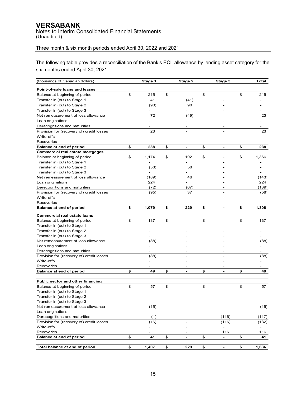Notes to Interim Consolidated Financial Statements (Unaudited)

## Three month & six month periods ended April 30, 2022 and 2021

The following table provides a reconciliation of the Bank's ECL allowance by lending asset category for the six months ended April 30, 2021:

| (thousands of Canadian dollars)                                     | Stage 1      | Stage 2                  | Stage 3                        | <b>Total</b> |
|---------------------------------------------------------------------|--------------|--------------------------|--------------------------------|--------------|
| Point-of-sale loans and leases                                      |              |                          |                                |              |
| Balance at beginning of period                                      | \$<br>215    | \$                       | \$                             | \$<br>215    |
| Transfer in (out) to Stage 1                                        | 41           | (41)                     |                                |              |
| Transfer in (out) to Stage 2                                        | (90)         | 90                       |                                |              |
| Transfer in (out) to Stage 3                                        |              |                          |                                |              |
| Net remeasurement of loss allowance                                 | 72           | (49)                     |                                | 23           |
| Loan originations                                                   |              |                          |                                |              |
| Derecognitions and maturities                                       |              |                          |                                |              |
|                                                                     | 23           |                          |                                | 23           |
| Provision for (recovery of) credit losses                           |              |                          |                                |              |
| Write-offs                                                          |              |                          |                                |              |
| Recoveries                                                          |              | $\overline{\phantom{a}}$ |                                | -            |
| Balance at end of period                                            | \$<br>238    | \$<br>$\blacksquare$     | \$<br>ä,                       | \$<br>238    |
| Commercial real estate mortgages                                    |              |                          |                                |              |
| Balance at beginning of period                                      | \$<br>1,174  | \$<br>192                | \$                             | \$<br>1,366  |
| Transfer in (out) to Stage 1                                        |              |                          |                                |              |
| Transfer in (out) to Stage 2                                        | (58)         | 58                       |                                |              |
| Transfer in (out) to Stage 3<br>Net remeasurement of loss allowance |              | 46                       |                                |              |
|                                                                     | (189)<br>224 |                          |                                | (143)<br>224 |
| Loan originations                                                   |              |                          |                                |              |
| Derecognitions and maturities                                       | (72)         | (67)<br>37               |                                | (139)        |
| Provision for (recovery of) credit losses<br>Write-offs             | (95)         |                          |                                | (58)         |
|                                                                     |              |                          |                                |              |
| Recoveries                                                          | \$<br>1,079  | \$<br>229                | \$<br>$\overline{\phantom{a}}$ | \$<br>1,308  |
| Balance at end of period                                            |              |                          |                                |              |
| <b>Commercial real estate loans</b>                                 |              |                          |                                |              |
| Balance at beginning of period                                      | \$<br>137    | \$                       | \$                             | \$<br>137    |
| Transfer in (out) to Stage 1                                        |              |                          |                                |              |
| Transfer in (out) to Stage 2                                        |              |                          |                                |              |
| Transfer in (out) to Stage 3                                        |              |                          |                                |              |
| Net remeasurement of loss allowance                                 | (88)         |                          |                                | (88)         |
| Loan originations                                                   |              |                          |                                |              |
| Derecognitions and maturities                                       |              |                          |                                |              |
| Provision for (recovery of) credit losses                           | (88)         |                          |                                | (88)         |
| Write-offs                                                          |              |                          |                                |              |
| Recoveries                                                          |              |                          |                                |              |
| Balance at end of period                                            | \$<br>49     | \$<br>$\blacksquare$     | \$<br>$\blacksquare$           | \$<br>49     |
|                                                                     |              |                          |                                |              |
| Public sector and other financing                                   |              |                          |                                |              |
| Balance at beginning of period                                      | \$<br>57     | \$                       | \$                             | \$<br>57     |
| Transfer in (out) to Stage 1                                        |              |                          |                                |              |
| Transfer in (out) to Stage 2                                        |              |                          |                                |              |
| Transfer in (out) to Stage 3                                        |              |                          |                                |              |
| Net remeasurement of loss allowance                                 | (15)         |                          |                                | (15)         |
| Loan originations                                                   |              |                          |                                |              |
| Derecognitions and maturities                                       | (1)          |                          | (116)                          | (117)        |
| Provision for (recovery of) credit losses                           | (16)         | $\overline{\phantom{a}}$ | (116)                          | (132)        |
| Write-offs                                                          |              |                          |                                |              |
| Recoveries                                                          |              |                          | 116                            | 116          |
| Balance at end of period                                            | \$<br>41     | \$<br>$\blacksquare$     | \$<br>$\blacksquare$           | \$<br>41     |
|                                                                     |              |                          |                                |              |
| Total balance at end of period                                      | \$<br>1,407  | \$<br>229                | \$<br>$\overline{\phantom{a}}$ | \$<br>1,636  |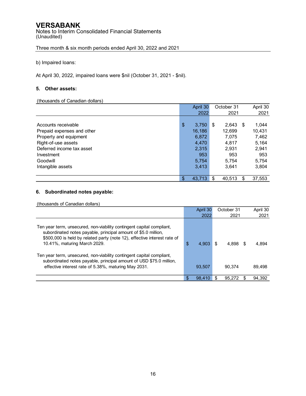Notes to Interim Consolidated Financial Statements (Unaudited)

Three month & six month periods ended April 30, 2022 and 2021

b) Impaired loans:

At April 30, 2022, impaired loans were \$nil (October 31, 2021 - \$nil).

#### **5. Other assets:**

#### (thousands of Canadian dollars)

|                            |     | April 30 |    | October 31 |      | April 30 |
|----------------------------|-----|----------|----|------------|------|----------|
|                            |     | 2022     |    | 2021       |      | 2021     |
|                            |     |          |    |            |      |          |
| Accounts receivable        | \$  | 3,750    | \$ | 2.643      | - \$ | 1,044    |
| Prepaid expenses and other |     | 16,186   |    | 12,699     |      | 10,431   |
| Property and equipment     |     | 6,872    |    | 7.075      |      | 7,462    |
| Right-of-use assets        |     | 4,470    |    | 4,817      |      | 5,164    |
| Deferred income tax asset  |     | 2,315    |    | 2,931      |      | 2,941    |
| Investment                 |     | 953      |    | 953        |      | 953      |
| Goodwill                   |     | 5,754    |    | 5,754      |      | 5,754    |
| Intangible assets          |     | 3,413    |    | 3.641      |      | 3,804    |
|                            |     |          |    |            |      |          |
|                            | \$. | 43,713   | S  | 40,513     | \$   | 37,553   |

#### **6. Subordinated notes payable:**

(thousands of Canadian dollars)

|                                                                                                                                                                                                                                                     |     | April 30 |   | October 31 |     | April 30 |
|-----------------------------------------------------------------------------------------------------------------------------------------------------------------------------------------------------------------------------------------------------|-----|----------|---|------------|-----|----------|
|                                                                                                                                                                                                                                                     |     | 2022     |   | 2021       |     | 2021     |
| Ten year term, unsecured, non-viability contingent capital compliant,<br>subordinated notes payable, principal amount of \$5.0 million,<br>\$500,000 is held by related party (note 12), effective interest rate of<br>10.41%, maturing March 2029. | \$  | 4,903    | S | 4.898      | \$. | 4,894    |
| Ten year term, unsecured, non-viability contingent capital compliant,<br>subordinated notes payable, principal amount of USD \$75.0 million,<br>effective interest rate of 5.38%, maturing May 2031.                                                |     | 93,507   |   | 90.374     |     | 89.498   |
|                                                                                                                                                                                                                                                     |     |          |   |            |     |          |
|                                                                                                                                                                                                                                                     | \$. | 98.410   |   | 95.272     |     | 94,392   |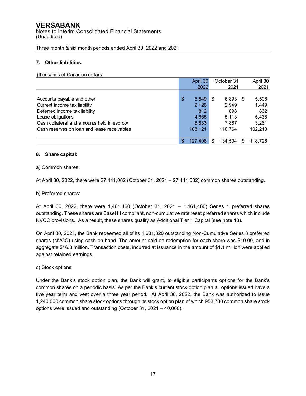Notes to Interim Consolidated Financial Statements (Unaudited)

Three month & six month periods ended April 30, 2022 and 2021

#### **7. Other liabilities:**

(thousands of Canadian dollars)

|                                             | April 30      |     | October 31 |      | April 30 |
|---------------------------------------------|---------------|-----|------------|------|----------|
|                                             | 2022          |     | 2021       |      | 2021     |
|                                             |               |     |            |      |          |
| Accounts payable and other                  | \$<br>5.849   | \$  | 6,893      | - \$ | 5,506    |
| Current income tax liability                | 2,126         |     | 2,949      |      | 1,449    |
| Deferred income tax liability               | 812           |     | 898        |      | 862      |
| Lease obligations                           | 4,665         |     | 5.113      |      | 5,438    |
| Cash collateral and amounts held in escrow  | 5,833         |     | 7,887      |      | 3,261    |
| Cash reserves on loan and lease receivables | 108.121       |     | 110.764    |      | 102.210  |
|                                             |               |     |            |      |          |
|                                             | \$<br>127.406 | \$. | 134,504    | S    | 118.726  |

#### **8. Share capital:**

a) Common shares:

At April 30, 2022, there were 27,441,082 (October 31, 2021 – 27,441,082) common shares outstanding.

b) Preferred shares:

At April 30, 2022, there were 1,461,460 (October 31, 2021 – 1,461,460) Series 1 preferred shares outstanding. These shares are Basel III compliant, non-cumulative rate reset preferred shares which include NVCC provisions. As a result, these shares qualify as Additional Tier 1 Capital (see note 13).

On April 30, 2021, the Bank redeemed all of its 1,681,320 outstanding Non-Cumulative Series 3 preferred shares (NVCC) using cash on hand. The amount paid on redemption for each share was \$10.00, and in aggregate \$16.8 million. Transaction costs, incurred at issuance in the amount of \$1.1 million were applied against retained earnings.

c) Stock options

Under the Bank's stock option plan, the Bank will grant, to eligible participants options for the Bank's common shares on a periodic basis. As per the Bank's current stock option plan all options issued have a five year term and vest over a three year period. At April 30, 2022, the Bank was authorized to issue 1,240,000 common share stock options through its stock option plan of which 953,730 common share stock options were issued and outstanding (October 31, 2021 – 40,000).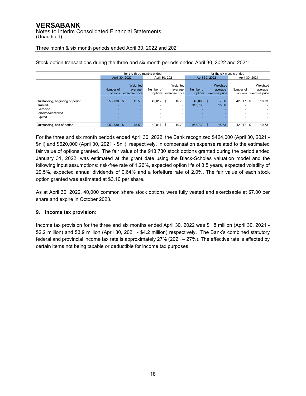|                                  | for the three months ended<br>for the six months ended |                |           |                          |           |                |                |                          |  |  |  |  |  |  |
|----------------------------------|--------------------------------------------------------|----------------|-----------|--------------------------|-----------|----------------|----------------|--------------------------|--|--|--|--|--|--|
|                                  |                                                        | April 30, 2022 |           | April 30, 2021           |           | April 30, 2022 | April 30, 2021 |                          |  |  |  |  |  |  |
|                                  |                                                        |                |           |                          |           |                |                |                          |  |  |  |  |  |  |
|                                  |                                                        | Weighted       |           | Weighted                 |           | Weighted       |                | Weighted                 |  |  |  |  |  |  |
|                                  | Number of                                              | average        | Number of | average                  | Number of | average        | Number of      | average                  |  |  |  |  |  |  |
|                                  | options                                                | exercise price | options   | exercise price           | options   | exercise price | options        | exercise price           |  |  |  |  |  |  |
|                                  |                                                        |                |           |                          |           |                |                |                          |  |  |  |  |  |  |
| Outstanding, beginning of period | 953,730 \$                                             | 15.53          | 42.017    | 10.73<br>\$              | 40,000 \$ | 7.00           | 42.017         | \$<br>10.73              |  |  |  |  |  |  |
| Granted                          | $\overline{\phantom{a}}$                               |                |           | $\overline{\phantom{a}}$ | 913.730   | 15.90          |                |                          |  |  |  |  |  |  |
| Exercised                        | $\overline{\phantom{a}}$                               |                |           | -                        |           |                |                |                          |  |  |  |  |  |  |
| Forfeired/cancelled              | ٠                                                      |                |           | -                        | -         |                |                | $\overline{\phantom{0}}$ |  |  |  |  |  |  |
| Expired                          | $\overline{\phantom{a}}$                               |                |           |                          |           |                |                |                          |  |  |  |  |  |  |
|                                  |                                                        |                |           |                          |           |                |                |                          |  |  |  |  |  |  |
| Outstanding, end of period       | 953,730                                                | 15.53          | 42.017    | 10.73                    | 953,730   | 15.53          | 42,017         | 10.73<br>\$              |  |  |  |  |  |  |

Stock option transactions during the three and six month periods ended April 30, 2022 and 2021:

For the three and six month periods ended April 30, 2022, the Bank recognized \$424,000 (April 30, 2021 - \$nil) and \$620,000 (April 30, 2021 - \$nil), respectively, in compensation expense related to the estimated fair value of options granted. The fair value of the 913,730 stock options granted during the period ended January 31, 2022, was estimated at the grant date using the Black-Scholes valuation model and the following input assumptions: risk-free rate of 1.26%, expected option life of 3.5 years, expected volatility of 29.5%, expected annual dividends of 0.64% and a forfeiture rate of 2.0%. The fair value of each stock option granted was estimated at \$3.10 per share.

As at April 30, 2022, 40,000 common share stock options were fully vested and exercisable at \$7.00 per share and expire in October 2023.

#### **9. Income tax provision:**

Income tax provision for the three and six months ended April 30, 2022 was \$1.8 million (April 30, 2021 - \$2.2 million) and \$3.9 million (April 30, 2021 - \$4.2 million) respectively. The Bank's combined statutory federal and provincial income tax rate is approximately 27% (2021 – 27%). The effective rate is affected by certain items not being taxable or deductible for income tax purposes.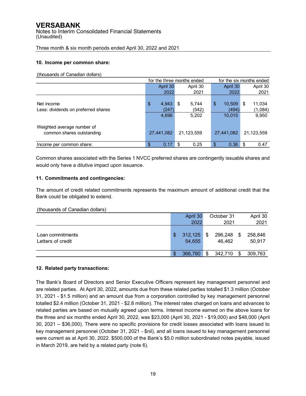Notes to Interim Consolidated Financial Statements (Unaudited)

Three month & six month periods ended April 30, 2022 and 2021

#### **10. Income per common share:**

(thousands of Canadian dollars)

|                                     | for the three months ended | for the six months ended |              |              |
|-------------------------------------|----------------------------|--------------------------|--------------|--------------|
|                                     | April 30                   | April 30                 | April 30     | April 30     |
|                                     | 2022                       | 2021                     | 2022         | 2021         |
|                                     |                            |                          |              |              |
| Net income                          | $\frac{1}{2}$<br>4,943     | 5.744<br>S               | \$<br>10,509 | \$<br>11,034 |
| Less: dividends on preferred shares | (247`                      | (542)                    | (494)        | (1,084)      |
|                                     | 4,696                      | 5,202                    | 10,015       | 9,950        |
| Weighted average number of          |                            |                          |              |              |
| common shares outstanding           | 27,441,082                 | 21,123,559               | 27,441,082   | 21,123,559   |
| Income per common share:            | 0.17<br>\$                 | 0.25<br>-\$              | 0.36<br>\$   | 0.47<br>-\$  |

Common shares associated with the Series 1 NVCC preferred shares are contingently issuable shares and would only have a dilutive impact upon issuance.

#### **11. Commitments and contingencies:**

The amount of credit related commitments represents the maximum amount of additional credit that the Bank could be obligated to extend.

#### (thousands of Canadian dollars)

|                                       | April 30                | October 31              |     | April 30          |
|---------------------------------------|-------------------------|-------------------------|-----|-------------------|
|                                       | 2022                    | 2021                    |     | 2021              |
| Loan commitments<br>Letters of credit | \$<br>312,125<br>54,655 | \$<br>296,248<br>46,462 | \$  | 258,846<br>50,917 |
|                                       | \$<br>366,780           | \$<br>342,710           | \$. | 309,763           |

#### **12. Related party transactions:**

The Bank's Board of Directors and Senior Executive Officers represent key management personnel and are related parties. At April 30, 2022, amounts due from these related parties totalled \$1.3 million (October 31, 2021 - \$1.5 million) and an amount due from a corporation controlled by key management personnel totalled \$2.4 million (October 31, 2021 - \$2.8 million). The interest rates charged on loans and advances to related parties are based on mutually agreed upon terms. Interest income earned on the above loans for the three and six months ended April 30, 2022, was \$23,000 (April 30, 2021 - \$19,000) and \$48,000 (April 30, 2021 – \$36,000). There were no specific provisions for credit losses associated with loans issued to key management personnel (October 31, 2021 - \$nil), and all loans issued to key management personnel were current as at April 30, 2022. \$500,000 of the Bank's \$5.0 million subordinated notes payable, issued in March 2019, are held by a related party (note 6).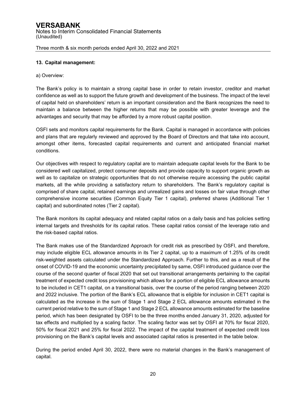#### **13. Capital management:**

#### a) Overview:

The Bank's policy is to maintain a strong capital base in order to retain investor, creditor and market confidence as well as to support the future growth and development of the business. The impact of the level of capital held on shareholders' return is an important consideration and the Bank recognizes the need to maintain a balance between the higher returns that may be possible with greater leverage and the advantages and security that may be afforded by a more robust capital position.

OSFI sets and monitors capital requirements for the Bank. Capital is managed in accordance with policies and plans that are regularly reviewed and approved by the Board of Directors and that take into account, amongst other items, forecasted capital requirements and current and anticipated financial market conditions.

Our objectives with respect to regulatory capital are to maintain adequate capital levels for the Bank to be considered well capitalized, protect consumer deposits and provide capacity to support organic growth as well as to capitalize on strategic opportunities that do not otherwise require accessing the public capital markets, all the while providing a satisfactory return to shareholders. The Bank's regulatory capital is comprised of share capital, retained earnings and unrealized gains and losses on fair value through other comprehensive income securities (Common Equity Tier 1 capital), preferred shares (Additional Tier 1 capital) and subordinated notes (Tier 2 capital).

The Bank monitors its capital adequacy and related capital ratios on a daily basis and has policies setting internal targets and thresholds for its capital ratios. These capital ratios consist of the leverage ratio and the risk-based capital ratios.

The Bank makes use of the Standardized Approach for credit risk as prescribed by OSFI, and therefore, may include eligible ECL allowance amounts in its Tier 2 capital, up to a maximum of 1.25% of its credit risk-weighted assets calculated under the Standardized Approach. Further to this, and as a result of the onset of COVID-19 and the economic uncertainty precipitated by same, OSFI introduced guidance over the course of the second quarter of fiscal 2020 that set out transitional arrangements pertaining to the capital treatment of expected credit loss provisioning which allows for a portion of eligible ECL allowance amounts to be included in CET1 capital, on a transitional basis, over the course of the period ranging between 2020 and 2022 inclusive. The portion of the Bank's ECL allowance that is eligible for inclusion in CET1 capital is calculated as the increase in the sum of Stage 1 and Stage 2 ECL allowance amounts estimated in the current period relative to the sum of Stage 1 and Stage 2 ECL allowance amounts estimated for the baseline period, which has been designated by OSFI to be the three months ended January 31, 2020, adjusted for tax effects and multiplied by a scaling factor. The scaling factor was set by OSFI at 70% for fiscal 2020, 50% for fiscal 2021 and 25% for fiscal 2022. The impact of the capital treatment of expected credit loss provisioning on the Bank's capital levels and associated capital ratios is presented in the table below.

During the period ended April 30, 2022, there were no material changes in the Bank's management of capital.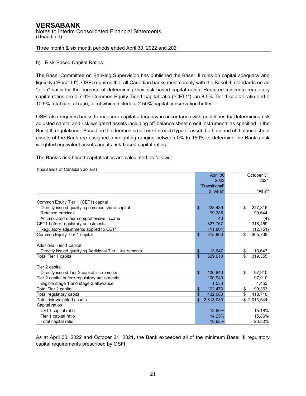#### b) Risk-Based Capital Ratios:

The Basel Committee on Banking Supervision has published the Basel III rules on capital adequacy and liquidity ("Basel III"). OSFI requires that all Canadian banks must comply with the Basel III standards on an "all-in" basis for the purpose of determining their risk-based capital ratios. Required minimum regulatory capital ratios are a 7.0% Common Equity Tier 1 capital ratio ("CET1"), an 8.5% Tier 1 capital ratio and a 10.5% total capital ratio, all of which include a 2.50% capital conservation buffer.

OSFI also requires banks to measure capital adequacy in accordance with guidelines for determining risk adjusted capital and risk-weighted assets including off-balance sheet credit instruments as specified in the Basel III regulations. Based on the deemed credit risk for each type of asset, both on and off balance sheet assets of the Bank are assigned a weighting ranging between 0% to 150% to determine the Bank's risk weighted equivalent assets and its risk-based capital ratios.

The Bank's risk-based capital ratios are calculated as follows:

|                                                          |                | April 30       | October 31    |
|----------------------------------------------------------|----------------|----------------|---------------|
|                                                          |                | 2022           | 2021          |
|                                                          |                | "Transitional" |               |
|                                                          |                | & "All in"     | "All in"      |
|                                                          |                |                |               |
| Common Equity Tier 1 (CET1) capital                      |                |                |               |
| Directly issued qualifying common share capital          | $\mathfrak{L}$ | 228,439        | \$<br>227,819 |
| Retained earnings                                        |                | 99,285         | 90,644        |
| Accumulated other comprehensive income                   |                | 43             | (4)           |
| CET1 before regulatory adjustments                       |                | 327,767        | 318,459       |
| Regulatory adjustments applied to CET1                   |                | (11, 804)      | (12, 751)     |
| Common Equity Tier 1 capital                             | \$             | 315,963        | \$<br>305,708 |
|                                                          |                |                |               |
| Additional Tier 1 capital                                |                |                |               |
| Directly issued qualifying Additional Tier 1 instruments | \$             | 13,647         | \$<br>13,647  |
| Total Tier 1 capital                                     | \$             | 329,610        | \$<br>319,355 |
|                                                          |                |                |               |
| Tier 2 capital                                           |                |                |               |
| Directly issued Tier 2 capital instruments               | $\mathfrak{L}$ | 100,940        | \$<br>97,910  |
| Tier 2 capital before regulatory adjustments             |                | 100,940        | 97,910        |
| Eligible stage 1 and stage 2 allowance                   |                | 1.533          | 1,453         |
| Total Tier 2 capital                                     | \$             | 102,473        | \$<br>99,363  |
| Total regulatory capital                                 | \$             | 432,083        | \$<br>418,718 |
| Total risk-weighted assets                               |                | 2,313,030      | \$2,013,544   |
| Capital ratios                                           |                |                |               |
| CET1 capital ratio                                       |                | 13.66%         | 15.18%        |
| Tier 1 capital ratio                                     |                | 14.25%         | 15.86%        |
| Total capital ratio                                      |                | 18.68%         | 20.80%        |

(thousands of Canadian dollars)

As at April 30, 2022 and October 31, 2021, the Bank exceeded all of the minimum Basel III regulatory capital requirements prescribed by OSFI.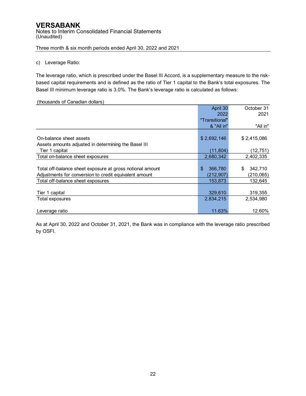#### c) Leverage Ratio:

The leverage ratio, which is prescribed under the Basel III Accord, is a supplementary measure to the riskbased capital requirements and is defined as the ratio of Tier 1 capital to the Bank's total exposures. The Basel III minimum leverage ratio is 3.0%. The Bank's leverage ratio is calculated as follows:

#### (thousands of Canadian dollars)

|                                                           | April 30       | October 31    |
|-----------------------------------------------------------|----------------|---------------|
|                                                           | 2022           | 2021          |
|                                                           | "Transitional" |               |
|                                                           | & "All in"     | "All in"      |
|                                                           |                |               |
| On-balance sheet assets                                   | \$2,692,146    | \$2,415,086   |
| Assets amounts adjusted in determining the Basel III      |                |               |
| Tier 1 capital                                            | (11, 804)      | (12, 751)     |
| Total on-balance sheet exposures                          | 2,680,342      | 2,402,335     |
|                                                           |                |               |
| Total off-balance sheet exposure at gross notional amount | \$<br>366,780  | \$<br>342,710 |
| Adjustments for conversion to credit equivalent amount    | (212,907)      | (210, 065)    |
| Total off-balance sheet exposures                         | 153,873        | 132,645       |
|                                                           |                |               |
| Tier 1 capital                                            | 329,610        | 319,355       |
| Total exposures                                           | 2,834,215      | 2,534,980     |
|                                                           |                |               |
| Leverage ratio                                            | 11.63%         | 12.60%        |

As at April 30, 2022 and October 31, 2021, the Bank was in compliance with the leverage ratio prescribed by OSFI.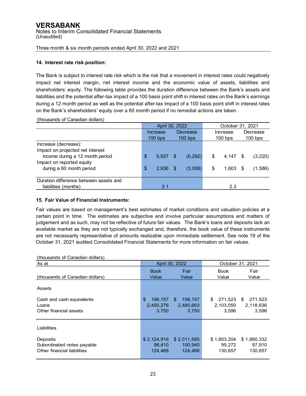#### **14. Interest rate risk position:**

The Bank is subject to interest rate risk which is the risk that a movement in interest rates could negatively impact net interest margin, net interest income and the economic value of assets, liabilities and shareholders' equity. The following table provides the duration difference between the Bank's assets and liabilities and the potential after-tax impact of a 100 basis point shift in interest rates on the Bank's earnings during a 12 month period as well as the potential after-tax impact of a 100 basis point shift in interest rates on the Bank's shareholders' equity over a 60 month period if no remedial actions are taken.

|                                        | April 30, 2022 |    |           |             |     | October 31, 2021 |  |  |
|----------------------------------------|----------------|----|-----------|-------------|-----|------------------|--|--|
|                                        | Increase       |    | Decrease  | Increase    |     | Decrease         |  |  |
|                                        | $100$ bps      |    | $100$ bps | $100$ bps   |     | $100$ bps        |  |  |
| Increase (decrease):                   |                |    |           |             |     |                  |  |  |
| Impact on projected net interest       |                |    |           |             |     |                  |  |  |
| income during a 12 month period        | \$<br>5.927    | S  | (6, 292)  | \$<br>4.147 | S   | (3,220)          |  |  |
| Impact on reported equity              |                |    |           |             |     |                  |  |  |
| during a 60 month period               | \$<br>2.936    | \$ | (3,008)   | \$<br>1,603 | \$. | (1,586)          |  |  |
|                                        |                |    |           |             |     |                  |  |  |
| Duration difference between assets and |                |    |           |             |     |                  |  |  |
| liabilities (months)                   | 3.1            |    |           | 2.3         |     |                  |  |  |

(thousands of Canadian dollars)

#### **15. Fair Value of Financial Instruments:**

Fair values are based on management's best estimates of market conditions and valuation policies at a certain point in time. The estimates are subjective and involve particular assumptions and matters of judgement and as such, may not be reflective of future fair values. The Bank's loans and deposits lack an available market as they are not typically exchanged and, therefore, the book value of these instruments are not necessarily representative of amounts realizable upon immediate settlement. See note 19 of the October 31, 2021 audited Consolidated Financial Statements for more information on fair values.

| (tribusarius or bariaulari ubliars)                                   |                                     |                                      |                                     |                                     |
|-----------------------------------------------------------------------|-------------------------------------|--------------------------------------|-------------------------------------|-------------------------------------|
| As at                                                                 |                                     | April 30, 2022                       |                                     | October 31, 2021                    |
| (thousands of Canadian dollars)                                       | <b>Book</b><br>Value                | Fair<br>Value                        | <b>Book</b><br>Value                | Fair<br>Value                       |
| Assets                                                                |                                     |                                      |                                     |                                     |
| Cash and cash equivalents<br>Loans<br>Other financial assets          | \$<br>198.157<br>2,450,276<br>3,750 | \$.<br>198,157<br>2,485,663<br>3,750 | 271,523<br>\$<br>2,103,050<br>3,596 | \$<br>271,523<br>2,118,636<br>3,596 |
| Liabilities                                                           |                                     |                                      |                                     |                                     |
| Deposits<br>Subordinated notes payable<br>Other financial liabilities | \$2.124.916<br>98.410<br>124.468    | \$2,011,585<br>100.940<br>124,468    | \$1.853.204<br>95,272<br>130,657    | \$1,860,332<br>97,910<br>130,657    |

#### (thousands of Canadian dollars)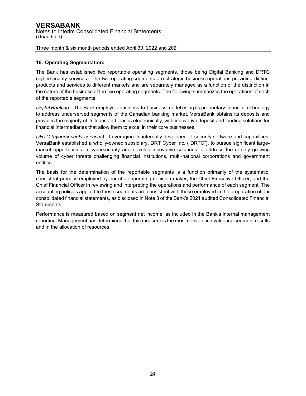#### **16. Operating Segmentation:**

The Bank has established two reportable operating segments, those being Digital Banking and DRTC (cybersecurity services). The two operating segments are strategic business operations providing distinct products and services to different markets and are separately managed as a function of the distinction in the nature of the business of the two operating segments. The following summarizes the operations of each of the reportable segments:

*Digital Banking* – The Bank employs a business-to-business model using its proprietary financial technology to address underserved segments of the Canadian banking market. VersaBank obtains its deposits and provides the majority of its loans and leases electronically, with innovative deposit and lending solutions for financial intermediaries that allow them to excel in their core businesses.

*DRTC (cybersecurity services)* - Leveraging its internally developed IT security software and capabilities, VersaBank established a wholly-owned subsidiary, DRT Cyber Inc. ("DRTC"), to pursue significant largemarket opportunities in cybersecurity and develop innovative solutions to address the rapidly growing volume of cyber threats challenging financial institutions, multi-national corporations and government entities.

The basis for the determination of the reportable segments is a function primarily of the systematic, consistent process employed by our chief operating decision maker, the Chief Executive Officer, and the Chief Financial Officer in reviewing and interpreting the operations and performance of each segment. The accounting policies applied to these segments are consistent with those employed in the preparation of our consolidated financial statements, as disclosed in Note 3 of the Bank's 2021 audited Consolidated Financial Statements.

Performance is measured based on segment net income, as included in the Bank's internal management reporting. Management has determined that this measure is the most relevant in evaluating segment results and in the allocation of resources.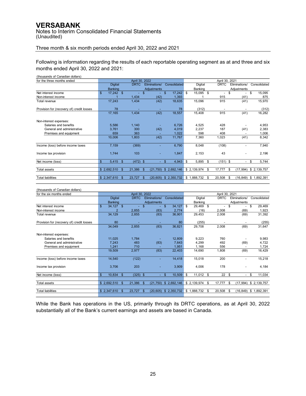Notes to Interim Consolidated Financial Statements (Unaudited)

#### Three month & six month periods ended April 30, 2022 and 2021

Following is information regarding the results of each reportable operating segment as at and three and six months ended April 30, 2022 and 2021:

(thousands of Canadian dollars)

| for the three months ended                |              |                |               | April 30, 2022           |               |                    |              |              | April 30, 2021 |              |    |                          |    |                          |    |              |  |
|-------------------------------------------|--------------|----------------|---------------|--------------------------|---------------|--------------------|--------------|--------------|----------------|--------------|----|--------------------------|----|--------------------------|----|--------------|--|
|                                           |              | <b>Digital</b> |               | <b>DRTC</b>              |               | Eliminations/      |              | Consolidated |                | Digital      |    | <b>DRTC</b>              |    | Eliminations/            |    | Consolidated |  |
|                                           |              | Banking        |               |                          |               | <b>Adjustments</b> |              |              |                | Banking      |    |                          |    | Adjustments              |    |              |  |
| Net interest income                       | \$.          | $17,242$ \$    |               | $\overline{\phantom{0}}$ | \$            |                    | \$.          | 17,242       | - \$           | 15,095       | \$ | $\overline{\phantom{a}}$ | \$ | $\overline{\phantom{a}}$ | \$ | 15,095       |  |
| Non-interest income                       |              |                |               | 1,434                    |               | (42)               |              | 1,393        |                |              |    | 915                      |    | (41)                     |    | 875          |  |
| Total revenue                             |              | 17,243         |               | 1,434                    |               | (42)               |              | 18,635       |                | 15,096       |    | 915                      |    | (41)                     |    | 15,970       |  |
| Provision for (recovery of) credit losses |              | 78             |               |                          |               |                    |              | 78           |                | (312)        |    |                          |    |                          |    | (312)        |  |
|                                           |              | 17,165         |               | 1,434                    |               | (42)               |              | 18,557       |                | 15,408       |    | 915                      |    | (41)                     |    | 16,282       |  |
| Non-interest expenses:                    |              |                |               |                          |               |                    |              |              |                |              |    |                          |    |                          |    |              |  |
| Salaries and benefits                     |              | 5,586          |               | 1,140                    |               |                    |              | 6,726        |                | 4,525        |    | 428                      |    |                          |    | 4,953        |  |
| General and administrative                |              | 3,761          |               | 300                      |               | (42)               |              | 4,019        |                | 2,237        |    | 187                      |    | (41)                     |    | 2,383        |  |
| Premises and equipment                    |              | 659            |               | 363                      |               |                    |              | 1,022        |                | 598          |    | 408                      |    |                          |    | 1,006        |  |
|                                           |              | 10,006         |               | 1,803                    |               | (42)               |              | 11,767       |                | 7,360        |    | 1,023                    |    | (41)                     |    | 8,342        |  |
| Income (loss) before income taxes         |              | 7,159          |               | (369)                    |               |                    |              | 6,790        |                | 8,048        |    | (108)                    |    |                          |    | 7,940        |  |
| Income tax provision                      |              | 1,744          |               | 103                      |               |                    |              | 1,847        |                | 2,153        |    | 43                       |    | $\overline{\phantom{a}}$ |    | 2,196        |  |
| Net income (loss)                         | $\mathbb{S}$ | $5,415$ \$     |               | $(472)$ \$               |               | ٠                  | $\mathbf{s}$ | 4,943        | \$             | 5,895        | \$ | $(151)$ \$               |    | $\overline{\phantom{0}}$ | \$ | 5,744        |  |
| <b>Total assets</b>                       |              | \$2,692,510    | $\mathbf{s}$  | 21,386                   | $\mathbf{\$}$ | (21, 750)          |              | \$2,692,146  |                | \$ 2,139,974 | S  | 17,777                   | \$ | (17, 994)                |    | \$2,139,757  |  |
|                                           |              |                |               |                          |               |                    |              |              |                |              |    |                          |    |                          |    |              |  |
| <b>Total liabilities</b>                  |              | \$2,347,610    | $\mathbf{\$}$ | 23,727                   | $\mathbb{S}$  | (20, 605)          |              | \$2,350,732  |                | \$1,888,732  | S  | 20,508                   | \$ | (16, 849)                |    | \$1,892,391  |  |
|                                           |              |                |               |                          |               |                    |              |              |                |              |    |                          |    |                          |    |              |  |

#### (thousands of Canadian dollars)

| for the six months ended                  |              |                |     | April 30, 2022 |                 |              |              | April 30, 2021 |             |     |                          |      |                          |    |              |  |  |
|-------------------------------------------|--------------|----------------|-----|----------------|-----------------|--------------|--------------|----------------|-------------|-----|--------------------------|------|--------------------------|----|--------------|--|--|
|                                           |              | <b>Digital</b> |     | <b>DRTC</b>    | Eliminations/   |              | Consolidated |                | Digital     |     | <b>DRTC</b>              |      | Eliminations/            |    | Consolidated |  |  |
|                                           |              | <b>Banking</b> |     |                | Adjustments     |              |              |                | Banking     |     |                          |      | Adjustments              |    |              |  |  |
| Net interest income                       | \$.          | $34,127$ \$    |     |                | \$              | $\mathbb{S}$ | 34,127       | \$             | 29,469      | \$  | $\overline{\phantom{a}}$ | \$   |                          | \$ | 29,469       |  |  |
| Non-interest income                       |              | $\overline{2}$ |     | 2,855          | (83)            |              | 2,774        |                | (16)        |     | 2,008                    |      | (69)                     |    | 1,923        |  |  |
| Total revenue                             |              | 34,129         |     | 2,855          | (83)            |              | 36,901       |                | 29,453      |     | 2,008                    |      | (69)                     |    | 31,392       |  |  |
| Provision for (recovery of) credit losses |              | 80             |     |                |                 |              | 80           |                | (255)       |     |                          |      |                          |    | (255)        |  |  |
|                                           |              | 34,049         |     | 2,855          | (83)            |              | 36,821       |                | 29,708      |     | 2,008                    |      | (69)                     |    | 31,647       |  |  |
| Non-interest expenses:                    |              |                |     |                |                 |              |              |                |             |     |                          |      |                          |    |              |  |  |
| Salaries and benefits                     |              | 11,025         |     | 1,784          |                 |              | 12,809       |                | 9,223       |     | 760                      |      |                          |    | 9,983        |  |  |
| General and administrative                |              | 7,243          |     | 483            | (83)            |              | 7,643        |                | 4,299       |     | 492                      |      | (69)                     |    | 4,722        |  |  |
| Premises and equipment                    |              | 1,241          |     | 710            |                 |              | 1,951        |                | 1,168       |     | 556                      |      |                          |    | 1,724        |  |  |
|                                           |              | 19,509         |     | 2,977          | (83)            |              | 22,403       |                | 14,690      |     | 1,808                    |      | (69)                     |    | 16,429       |  |  |
| Income (loss) before income taxes         |              | 14,540         |     | (122)          |                 |              | 14,418       |                | 15,018      |     | 200                      |      |                          |    | 15,218       |  |  |
| Income tax provision                      |              | 3,706          |     | 203            |                 |              | 3,909        |                | 4,006       |     | 178                      |      |                          |    | 4,184        |  |  |
| Net income (loss)                         | $\mathbf{s}$ | 10,834         | -\$ | $(325)$ \$     |                 | \$.          | 10,509       | \$             | $11,012$ \$ |     | $22 \quad$               |      | $\overline{\phantom{a}}$ | \$ | 11,034       |  |  |
|                                           |              |                |     |                |                 |              |              |                |             |     |                          |      |                          |    |              |  |  |
| <b>Total assets</b>                       | \$2,692,510  |                | \$  | 21,386         | \$<br>(21,750)  |              | \$2,692,146  |                | \$2,139,974 | \$. | 17,777                   | \$   | (17, 994)                |    | \$2,139,757  |  |  |
| <b>Total liabilities</b>                  | \$2,347,610  |                | -S  | 23,727         | \$<br>(20, 605) |              | \$2,350,732  | \$             | .888,732    | S   | 20,508                   | - \$ | (16,849)                 | \$ | 1,892,391    |  |  |

While the Bank has operations in the US, primarily through its DRTC operations, as at April 30, 2022 substantially all of the Bank's current earnings and assets are based in Canada.